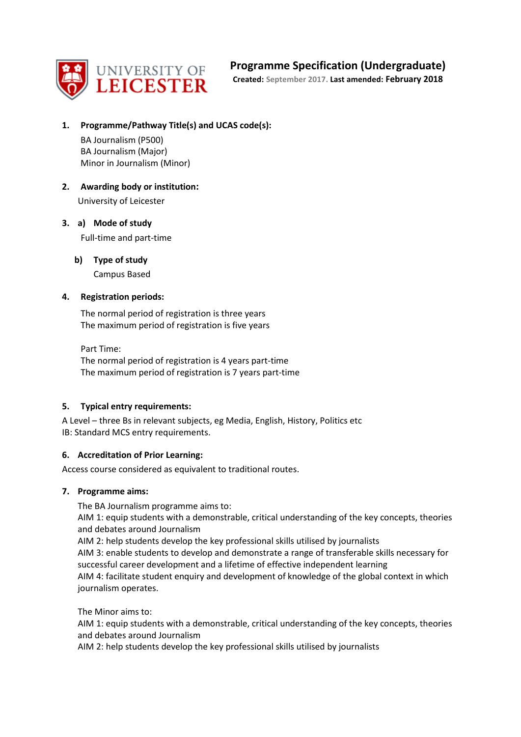

## **Programme Specification (Undergraduate)**

**Created: September 2017. Last amended: February 2018**

**1. Programme/Pathway Title(s) and UCAS code(s):**

BA Journalism (P500) BA Journalism (Major) Minor in Journalism (Minor)

**2. Awarding body or institution:** University of Leicester

#### **3. a) Mode of study** Full-time and part-time

**b) Type of study** Campus Based

## **4. Registration periods:**

The normal period of registration is three years The maximum period of registration is five years

Part Time: The normal period of registration is 4 years part-time The maximum period of registration is 7 years part-time

## **5. Typical entry requirements:**

A Level – three Bs in relevant subjects, eg Media, English, History, Politics etc IB: Standard MCS entry requirements.

#### **6. Accreditation of Prior Learning:**

Access course considered as equivalent to traditional routes.

#### **7. Programme aims:**

The BA Journalism programme aims to:

AIM 1: equip students with a demonstrable, critical understanding of the key concepts, theories and debates around Journalism

AIM 2: help students develop the key professional skills utilised by journalists

AIM 3: enable students to develop and demonstrate a range of transferable skills necessary for successful career development and a lifetime of effective independent learning AIM 4: facilitate student enquiry and development of knowledge of the global context in which journalism operates.

The Minor aims to:

AIM 1: equip students with a demonstrable, critical understanding of the key concepts, theories and debates around Journalism

AIM 2: help students develop the key professional skills utilised by journalists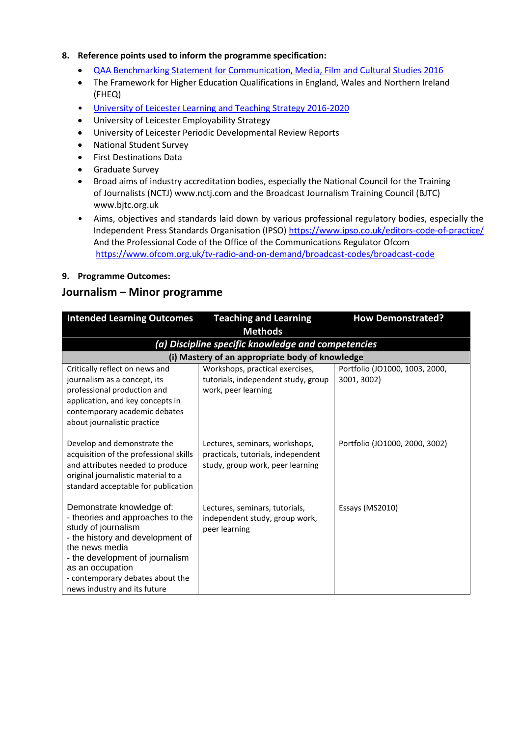#### **8. Reference points used to inform the programme specification:**

- [QAA Benchmarking Statement for Communication, Media, Film and Cultural Studies 2016](http://www.qaa.ac.uk/en/Publications/Documents/SBS-Communication-Media-Film-and-Cultural-Studies-16.pdf)
- The Framework for Higher Education Qualifications in England, Wales and Northern Ireland (FHEQ)
- [University of Leicester Learning and Teaching Strategy 2016-2020](http://www2.le.ac.uk/offices/sas2/quality/learnteach)
- University of Leicester Employability Strategy
- University of Leicester Periodic Developmental Review Reports
- National Student Survey
- **•** First Destinations Data
- **•** Graduate Survey
- Broad aims of industry accreditation bodies, especially the National Council for the Training of Journalists (NCTJ) www.nctj.com and the Broadcast Journalism Training Council (BJTC) www.bjtc.org.uk
- Aims, objectives and standards laid down by various professional regulatory bodies, especially the Independent Press Standards Organisation (IPSO)<https://www.ipso.co.uk/editors-code-of-practice/> And the Professional Code of the Office of the Communications Regulator Ofcom <https://www.ofcom.org.uk/tv-radio-and-on-demand/broadcast-codes/broadcast-code>
- **9. Programme Outcomes:**

## **Journalism – Minor programme**

| <b>Intended Learning Outcomes</b>                                          | <b>Teaching and Learning</b>                       | <b>How Demonstrated?</b>       |
|----------------------------------------------------------------------------|----------------------------------------------------|--------------------------------|
|                                                                            | <b>Methods</b>                                     |                                |
|                                                                            | (a) Discipline specific knowledge and competencies |                                |
|                                                                            | (i) Mastery of an appropriate body of knowledge    |                                |
| Critically reflect on news and                                             | Workshops, practical exercises,                    | Portfolio (JO1000, 1003, 2000, |
| journalism as a concept, its                                               | tutorials, independent study, group                | 3001, 3002)                    |
| professional production and                                                | work, peer learning                                |                                |
| application, and key concepts in                                           |                                                    |                                |
| contemporary academic debates                                              |                                                    |                                |
| about journalistic practice                                                |                                                    |                                |
|                                                                            |                                                    |                                |
| Develop and demonstrate the                                                | Lectures, seminars, workshops,                     | Portfolio (JO1000, 2000, 3002) |
| acquisition of the professional skills                                     | practicals, tutorials, independent                 |                                |
| and attributes needed to produce                                           | study, group work, peer learning                   |                                |
| original journalistic material to a<br>standard acceptable for publication |                                                    |                                |
|                                                                            |                                                    |                                |
| Demonstrate knowledge of:                                                  | Lectures, seminars, tutorials,                     | Essays (MS2010)                |
| - theories and approaches to the                                           | independent study, group work,                     |                                |
| study of journalism                                                        | peer learning                                      |                                |
| - the history and development of                                           |                                                    |                                |
| the news media                                                             |                                                    |                                |
| - the development of journalism                                            |                                                    |                                |
| as an occupation                                                           |                                                    |                                |
| - contemporary debates about the                                           |                                                    |                                |
| news industry and its future                                               |                                                    |                                |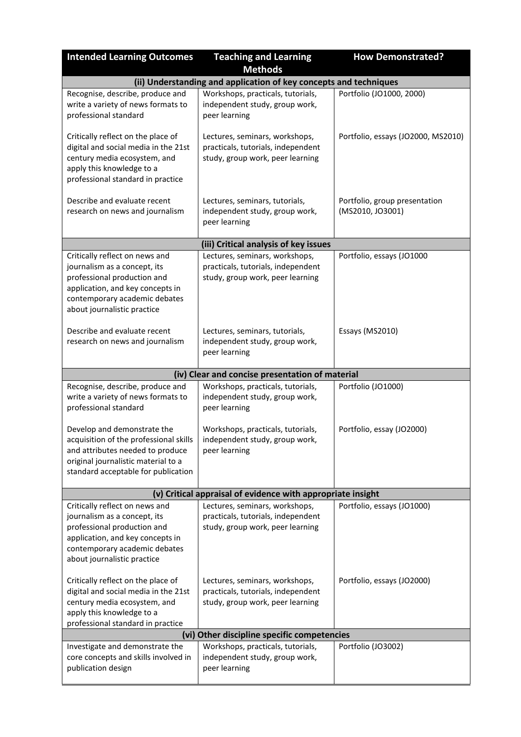| <b>Intended Learning Outcomes</b>                                                                                                                                                                 | <b>Teaching and Learning</b>                                                                             | <b>How Demonstrated?</b>                          |
|---------------------------------------------------------------------------------------------------------------------------------------------------------------------------------------------------|----------------------------------------------------------------------------------------------------------|---------------------------------------------------|
|                                                                                                                                                                                                   | <b>Methods</b>                                                                                           |                                                   |
|                                                                                                                                                                                                   | (ii) Understanding and application of key concepts and techniques                                        |                                                   |
| Recognise, describe, produce and<br>write a variety of news formats to<br>professional standard                                                                                                   | Workshops, practicals, tutorials,<br>independent study, group work,<br>peer learning                     | Portfolio (JO1000, 2000)                          |
| Critically reflect on the place of<br>digital and social media in the 21st<br>century media ecosystem, and<br>apply this knowledge to a<br>professional standard in practice                      | Lectures, seminars, workshops,<br>practicals, tutorials, independent<br>study, group work, peer learning | Portfolio, essays (JO2000, MS2010)                |
| Describe and evaluate recent<br>research on news and journalism                                                                                                                                   | Lectures, seminars, tutorials,<br>independent study, group work,<br>peer learning                        | Portfolio, group presentation<br>(MS2010, JO3001) |
|                                                                                                                                                                                                   | (iii) Critical analysis of key issues                                                                    |                                                   |
| Critically reflect on news and<br>journalism as a concept, its<br>professional production and<br>application, and key concepts in<br>contemporary academic debates<br>about journalistic practice | Lectures, seminars, workshops,<br>practicals, tutorials, independent<br>study, group work, peer learning | Portfolio, essays (JO1000                         |
| Describe and evaluate recent<br>research on news and journalism                                                                                                                                   | Lectures, seminars, tutorials,<br>independent study, group work,<br>peer learning                        | Essays (MS2010)                                   |
|                                                                                                                                                                                                   | (iv) Clear and concise presentation of material                                                          |                                                   |
| Recognise, describe, produce and<br>write a variety of news formats to<br>professional standard                                                                                                   | Workshops, practicals, tutorials,<br>independent study, group work,<br>peer learning                     | Portfolio (JO1000)                                |
| Develop and demonstrate the<br>acquisition of the professional skills<br>and attributes needed to produce<br>original journalistic material to a<br>standard acceptable for publication           | Workshops, practicals, tutorials,<br>independent study, group work,<br>peer learning                     | Portfolio, essay (JO2000)                         |
|                                                                                                                                                                                                   | (v) Critical appraisal of evidence with appropriate insight                                              |                                                   |
| Critically reflect on news and<br>journalism as a concept, its<br>professional production and<br>application, and key concepts in<br>contemporary academic debates<br>about journalistic practice | Lectures, seminars, workshops,<br>practicals, tutorials, independent<br>study, group work, peer learning | Portfolio, essays (JO1000)                        |
| Critically reflect on the place of<br>digital and social media in the 21st<br>century media ecosystem, and<br>apply this knowledge to a<br>professional standard in practice                      | Lectures, seminars, workshops,<br>practicals, tutorials, independent<br>study, group work, peer learning | Portfolio, essays (JO2000)                        |
|                                                                                                                                                                                                   | (vi) Other discipline specific competencies                                                              |                                                   |
| Investigate and demonstrate the<br>core concepts and skills involved in<br>publication design                                                                                                     | Workshops, practicals, tutorials,<br>independent study, group work,<br>peer learning                     | Portfolio (JO3002)                                |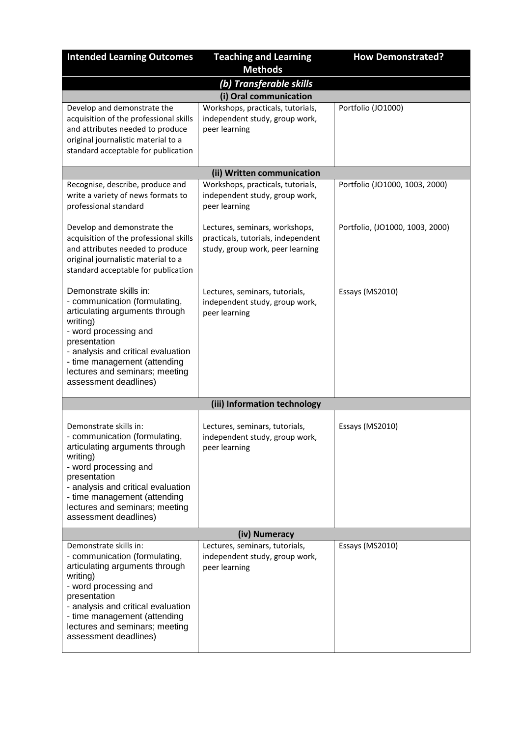| <b>Intended Learning Outcomes</b>                                                                                                                                                                                                                                               | <b>Teaching and Learning</b>                                                                             | <b>How Demonstrated?</b>        |  |
|---------------------------------------------------------------------------------------------------------------------------------------------------------------------------------------------------------------------------------------------------------------------------------|----------------------------------------------------------------------------------------------------------|---------------------------------|--|
|                                                                                                                                                                                                                                                                                 | <b>Methods</b>                                                                                           |                                 |  |
| (b) Transferable skills                                                                                                                                                                                                                                                         |                                                                                                          |                                 |  |
|                                                                                                                                                                                                                                                                                 | (i) Oral communication                                                                                   |                                 |  |
| Develop and demonstrate the<br>acquisition of the professional skills<br>and attributes needed to produce<br>original journalistic material to a<br>standard acceptable for publication                                                                                         | Workshops, practicals, tutorials,<br>independent study, group work,<br>peer learning                     | Portfolio (JO1000)              |  |
|                                                                                                                                                                                                                                                                                 | (ii) Written communication                                                                               |                                 |  |
| Recognise, describe, produce and<br>write a variety of news formats to<br>professional standard                                                                                                                                                                                 | Workshops, practicals, tutorials,<br>independent study, group work,<br>peer learning                     | Portfolio (JO1000, 1003, 2000)  |  |
| Develop and demonstrate the<br>acquisition of the professional skills<br>and attributes needed to produce<br>original journalistic material to a<br>standard acceptable for publication                                                                                         | Lectures, seminars, workshops,<br>practicals, tutorials, independent<br>study, group work, peer learning | Portfolio, (JO1000, 1003, 2000) |  |
| Demonstrate skills in:<br>- communication (formulating,<br>articulating arguments through<br>writing)<br>- word processing and<br>presentation<br>- analysis and critical evaluation<br>- time management (attending<br>lectures and seminars; meeting<br>assessment deadlines) | Lectures, seminars, tutorials,<br>independent study, group work,<br>peer learning                        | Essays (MS2010)                 |  |
|                                                                                                                                                                                                                                                                                 | (iii) Information technology                                                                             |                                 |  |
| Demonstrate skills in:<br>- communication (formulating,<br>articulating arguments through<br>writing)<br>- word processing and<br>presentation<br>- analysis and critical evaluation<br>- time management (attending<br>lectures and seminars; meeting<br>assessment deadlines) | Lectures, seminars, tutorials,<br>independent study, group work,<br>peer learning                        | Essays (MS2010)                 |  |
| (iv) Numeracy                                                                                                                                                                                                                                                                   |                                                                                                          |                                 |  |
| Demonstrate skills in:<br>- communication (formulating,<br>articulating arguments through<br>writing)<br>- word processing and<br>presentation<br>- analysis and critical evaluation<br>- time management (attending<br>lectures and seminars; meeting<br>assessment deadlines) | Lectures, seminars, tutorials,<br>independent study, group work,<br>peer learning                        | Essays (MS2010)                 |  |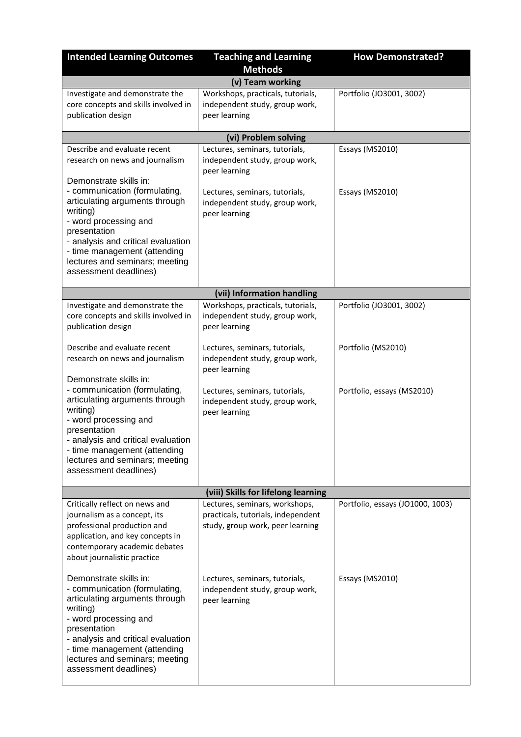| <b>Intended Learning Outcomes</b>                                                                                                                                                                                                                                               | <b>Teaching and Learning</b>                                                                                        | <b>How Demonstrated?</b>           |
|---------------------------------------------------------------------------------------------------------------------------------------------------------------------------------------------------------------------------------------------------------------------------------|---------------------------------------------------------------------------------------------------------------------|------------------------------------|
|                                                                                                                                                                                                                                                                                 | <b>Methods</b>                                                                                                      |                                    |
|                                                                                                                                                                                                                                                                                 | (v) Team working                                                                                                    |                                    |
| Investigate and demonstrate the<br>core concepts and skills involved in<br>publication design                                                                                                                                                                                   | Workshops, practicals, tutorials,<br>independent study, group work,<br>peer learning                                | Portfolio (JO3001, 3002)           |
|                                                                                                                                                                                                                                                                                 | (vi) Problem solving                                                                                                |                                    |
| Describe and evaluate recent<br>research on news and journalism<br>Demonstrate skills in:<br>- communication (formulating,<br>articulating arguments through                                                                                                                    | Lectures, seminars, tutorials,<br>independent study, group work,<br>peer learning<br>Lectures, seminars, tutorials, | Essays (MS2010)<br>Essays (MS2010) |
| writing)<br>- word processing and<br>presentation<br>- analysis and critical evaluation<br>- time management (attending<br>lectures and seminars; meeting<br>assessment deadlines)                                                                                              | independent study, group work,<br>peer learning                                                                     |                                    |
|                                                                                                                                                                                                                                                                                 | (vii) Information handling                                                                                          |                                    |
| Investigate and demonstrate the<br>core concepts and skills involved in<br>publication design                                                                                                                                                                                   | Workshops, practicals, tutorials,<br>independent study, group work,<br>peer learning                                | Portfolio (JO3001, 3002)           |
| Describe and evaluate recent<br>research on news and journalism                                                                                                                                                                                                                 | Lectures, seminars, tutorials,<br>independent study, group work,<br>peer learning                                   | Portfolio (MS2010)                 |
| Demonstrate skills in:<br>- communication (formulating,<br>articulating arguments through<br>writing)<br>- word processing and<br>presentation<br>- analysis and critical evaluation<br>- time management (attending<br>lectures and seminars; meeting<br>assessment deadlines) | Lectures, seminars, tutorials,<br>independent study, group work,<br>peer learning                                   | Portfolio, essays (MS2010)         |
|                                                                                                                                                                                                                                                                                 | (viii) Skills for lifelong learning                                                                                 |                                    |
| Critically reflect on news and<br>journalism as a concept, its<br>professional production and<br>application, and key concepts in<br>contemporary academic debates<br>about journalistic practice                                                                               | Lectures, seminars, workshops,<br>practicals, tutorials, independent<br>study, group work, peer learning            | Portfolio, essays (JO1000, 1003)   |
| Demonstrate skills in:<br>- communication (formulating,<br>articulating arguments through<br>writing)<br>- word processing and<br>presentation<br>- analysis and critical evaluation<br>- time management (attending<br>lectures and seminars; meeting<br>assessment deadlines) | Lectures, seminars, tutorials,<br>independent study, group work,<br>peer learning                                   | Essays (MS2010)                    |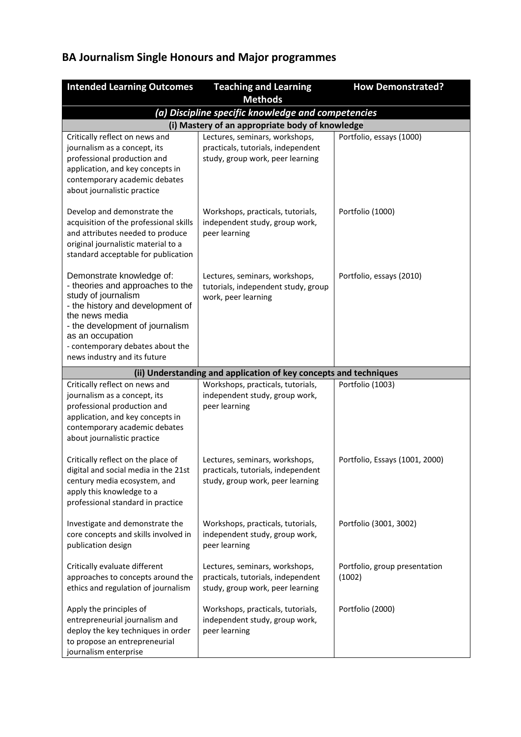# **BA Journalism Single Honours and Major programmes**

| <b>Intended Learning Outcomes</b>                                                                                                                                                                                                                                     | <b>Teaching and Learning</b>                                                                             | <b>How Demonstrated?</b>                |  |
|-----------------------------------------------------------------------------------------------------------------------------------------------------------------------------------------------------------------------------------------------------------------------|----------------------------------------------------------------------------------------------------------|-----------------------------------------|--|
|                                                                                                                                                                                                                                                                       | <b>Methods</b>                                                                                           |                                         |  |
| (a) Discipline specific knowledge and competencies                                                                                                                                                                                                                    |                                                                                                          |                                         |  |
|                                                                                                                                                                                                                                                                       | (i) Mastery of an appropriate body of knowledge                                                          |                                         |  |
| Critically reflect on news and<br>journalism as a concept, its<br>professional production and<br>application, and key concepts in<br>contemporary academic debates<br>about journalistic practice                                                                     | Lectures, seminars, workshops,<br>practicals, tutorials, independent<br>study, group work, peer learning | Portfolio, essays (1000)                |  |
| Develop and demonstrate the<br>acquisition of the professional skills<br>and attributes needed to produce<br>original journalistic material to a<br>standard acceptable for publication                                                                               | Workshops, practicals, tutorials,<br>independent study, group work,<br>peer learning                     | Portfolio (1000)                        |  |
| Demonstrate knowledge of:<br>- theories and approaches to the<br>study of journalism<br>- the history and development of<br>the news media<br>- the development of journalism<br>as an occupation<br>- contemporary debates about the<br>news industry and its future | Lectures, seminars, workshops,<br>tutorials, independent study, group<br>work, peer learning             | Portfolio, essays (2010)                |  |
|                                                                                                                                                                                                                                                                       | (ii) Understanding and application of key concepts and techniques                                        |                                         |  |
| Critically reflect on news and<br>journalism as a concept, its<br>professional production and<br>application, and key concepts in<br>contemporary academic debates<br>about journalistic practice                                                                     | Workshops, practicals, tutorials,<br>independent study, group work,<br>peer learning                     | Portfolio (1003)                        |  |
| Critically reflect on the place of<br>digital and social media in the 21st<br>century media ecosystem, and<br>apply this knowledge to a<br>professional standard in practice                                                                                          | Lectures, seminars, workshops,<br>practicals, tutorials, independent<br>study, group work, peer learning | Portfolio, Essays (1001, 2000)          |  |
| Investigate and demonstrate the<br>core concepts and skills involved in<br>publication design                                                                                                                                                                         | Workshops, practicals, tutorials,<br>independent study, group work,<br>peer learning                     | Portfolio (3001, 3002)                  |  |
| Critically evaluate different<br>approaches to concepts around the<br>ethics and regulation of journalism                                                                                                                                                             | Lectures, seminars, workshops,<br>practicals, tutorials, independent<br>study, group work, peer learning | Portfolio, group presentation<br>(1002) |  |
| Apply the principles of<br>entrepreneurial journalism and<br>deploy the key techniques in order<br>to propose an entrepreneurial<br>journalism enterprise                                                                                                             | Workshops, practicals, tutorials,<br>independent study, group work,<br>peer learning                     | Portfolio (2000)                        |  |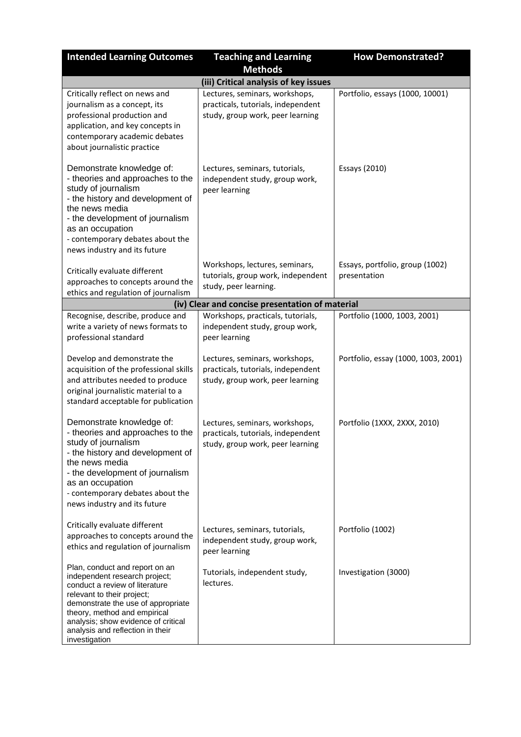| <b>Intended Learning Outcomes</b>                                                                                                                                                                                                                                                                 | <b>Teaching and Learning</b>                                                                             | <b>How Demonstrated?</b>                        |
|---------------------------------------------------------------------------------------------------------------------------------------------------------------------------------------------------------------------------------------------------------------------------------------------------|----------------------------------------------------------------------------------------------------------|-------------------------------------------------|
|                                                                                                                                                                                                                                                                                                   | <b>Methods</b>                                                                                           |                                                 |
|                                                                                                                                                                                                                                                                                                   | (iii) Critical analysis of key issues                                                                    |                                                 |
| Critically reflect on news and<br>journalism as a concept, its<br>professional production and<br>application, and key concepts in<br>contemporary academic debates<br>about journalistic practice                                                                                                 | Lectures, seminars, workshops,<br>practicals, tutorials, independent<br>study, group work, peer learning | Portfolio, essays (1000, 10001)                 |
| Demonstrate knowledge of:<br>- theories and approaches to the<br>study of journalism<br>- the history and development of<br>the news media<br>- the development of journalism<br>as an occupation<br>- contemporary debates about the<br>news industry and its future                             | Lectures, seminars, tutorials,<br>independent study, group work,<br>peer learning                        | Essays (2010)                                   |
| Critically evaluate different<br>approaches to concepts around the<br>ethics and regulation of journalism                                                                                                                                                                                         | Workshops, lectures, seminars,<br>tutorials, group work, independent<br>study, peer learning.            | Essays, portfolio, group (1002)<br>presentation |
|                                                                                                                                                                                                                                                                                                   | (iv) Clear and concise presentation of material                                                          |                                                 |
| Recognise, describe, produce and<br>write a variety of news formats to<br>professional standard                                                                                                                                                                                                   | Workshops, practicals, tutorials,<br>independent study, group work,<br>peer learning                     | Portfolio (1000, 1003, 2001)                    |
| Develop and demonstrate the<br>acquisition of the professional skills<br>and attributes needed to produce<br>original journalistic material to a<br>standard acceptable for publication                                                                                                           | Lectures, seminars, workshops,<br>practicals, tutorials, independent<br>study, group work, peer learning | Portfolio, essay (1000, 1003, 2001)             |
| Demonstrate knowledge of:<br>- theories and approaches to the<br>study of journalism<br>- the history and development of<br>the news media<br>- the development of journalism<br>as an occupation<br>- contemporary debates about the<br>news industry and its future                             | Lectures, seminars, workshops,<br>practicals, tutorials, independent<br>study, group work, peer learning | Portfolio (1XXX, 2XXX, 2010)                    |
| Critically evaluate different<br>approaches to concepts around the<br>ethics and regulation of journalism                                                                                                                                                                                         | Lectures, seminars, tutorials,<br>independent study, group work,<br>peer learning                        | Portfolio (1002)                                |
| Plan, conduct and report on an<br>independent research project;<br>conduct a review of literature<br>relevant to their project;<br>demonstrate the use of appropriate<br>theory, method and empirical<br>analysis; show evidence of critical<br>analysis and reflection in their<br>investigation | Tutorials, independent study,<br>lectures.                                                               | Investigation (3000)                            |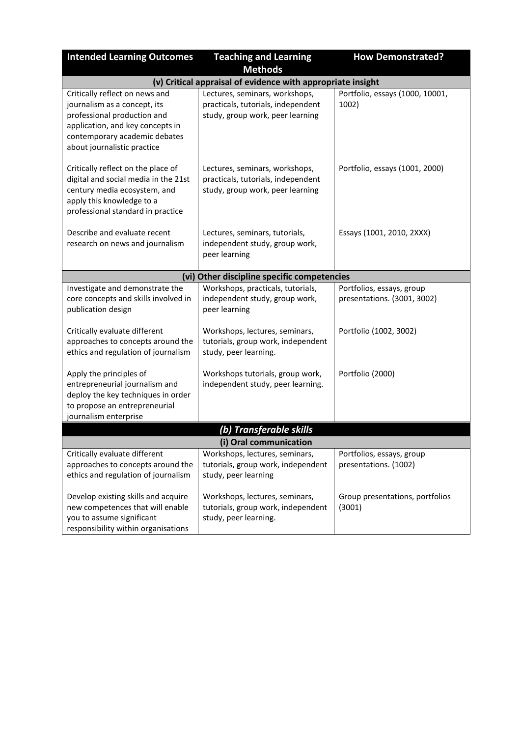| <b>Intended Learning Outcomes</b>                                                                                                                                                                 | <b>Teaching and Learning</b>                                                                             | <b>How Demonstrated?</b>                                 |
|---------------------------------------------------------------------------------------------------------------------------------------------------------------------------------------------------|----------------------------------------------------------------------------------------------------------|----------------------------------------------------------|
|                                                                                                                                                                                                   | <b>Methods</b>                                                                                           |                                                          |
|                                                                                                                                                                                                   | (v) Critical appraisal of evidence with appropriate insight                                              |                                                          |
| Critically reflect on news and<br>journalism as a concept, its<br>professional production and<br>application, and key concepts in<br>contemporary academic debates<br>about journalistic practice | Lectures, seminars, workshops,<br>practicals, tutorials, independent<br>study, group work, peer learning | Portfolio, essays (1000, 10001,<br>1002)                 |
| Critically reflect on the place of<br>digital and social media in the 21st<br>century media ecosystem, and<br>apply this knowledge to a<br>professional standard in practice                      | Lectures, seminars, workshops,<br>practicals, tutorials, independent<br>study, group work, peer learning | Portfolio, essays (1001, 2000)                           |
| Describe and evaluate recent<br>research on news and journalism                                                                                                                                   | Lectures, seminars, tutorials,<br>independent study, group work,<br>peer learning                        | Essays (1001, 2010, 2XXX)                                |
|                                                                                                                                                                                                   | (vi) Other discipline specific competencies                                                              |                                                          |
| Investigate and demonstrate the<br>core concepts and skills involved in<br>publication design                                                                                                     | Workshops, practicals, tutorials,<br>independent study, group work,<br>peer learning                     | Portfolios, essays, group<br>presentations. (3001, 3002) |
| Critically evaluate different<br>approaches to concepts around the<br>ethics and regulation of journalism                                                                                         | Workshops, lectures, seminars,<br>tutorials, group work, independent<br>study, peer learning.            | Portfolio (1002, 3002)                                   |
| Apply the principles of<br>entrepreneurial journalism and<br>deploy the key techniques in order<br>to propose an entrepreneurial<br>journalism enterprise                                         | Workshops tutorials, group work,<br>independent study, peer learning.                                    | Portfolio (2000)                                         |
|                                                                                                                                                                                                   | (b) Transferable skills                                                                                  |                                                          |
|                                                                                                                                                                                                   | (i) Oral communication                                                                                   |                                                          |
| Critically evaluate different<br>approaches to concepts around the<br>ethics and regulation of journalism                                                                                         | Workshops, lectures, seminars,<br>tutorials, group work, independent<br>study, peer learning             | Portfolios, essays, group<br>presentations. (1002)       |
| Develop existing skills and acquire<br>new competences that will enable<br>you to assume significant<br>responsibility within organisations                                                       | Workshops, lectures, seminars,<br>tutorials, group work, independent<br>study, peer learning.            | Group presentations, portfolios<br>(3001)                |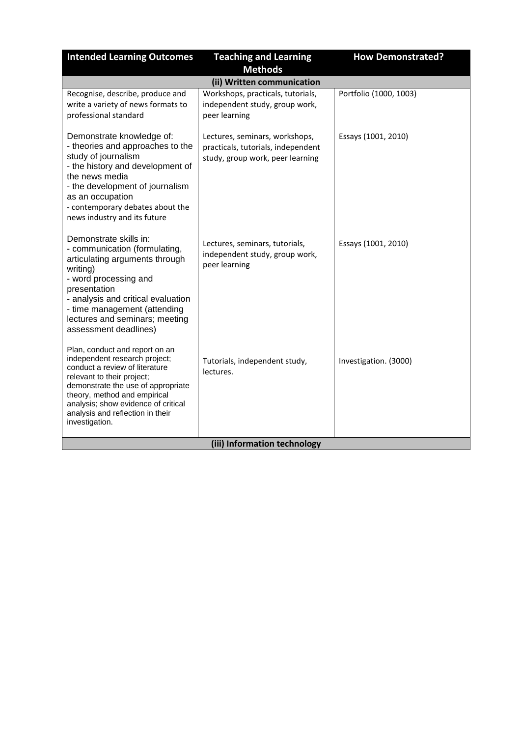| <b>Intended Learning Outcomes</b>                                                                                                                                                                                                                                                                  | <b>Teaching and Learning</b><br><b>Methods</b>                                                           | <b>How Demonstrated?</b> |  |
|----------------------------------------------------------------------------------------------------------------------------------------------------------------------------------------------------------------------------------------------------------------------------------------------------|----------------------------------------------------------------------------------------------------------|--------------------------|--|
|                                                                                                                                                                                                                                                                                                    | (ii) Written communication                                                                               |                          |  |
| Recognise, describe, produce and<br>write a variety of news formats to<br>professional standard                                                                                                                                                                                                    | Workshops, practicals, tutorials,<br>independent study, group work,<br>peer learning                     | Portfolio (1000, 1003)   |  |
| Demonstrate knowledge of:<br>- theories and approaches to the<br>study of journalism<br>- the history and development of<br>the news media<br>- the development of journalism<br>as an occupation<br>- contemporary debates about the<br>news industry and its future                              | Lectures, seminars, workshops,<br>practicals, tutorials, independent<br>study, group work, peer learning | Essays (1001, 2010)      |  |
| Demonstrate skills in:<br>- communication (formulating,<br>articulating arguments through<br>writing)<br>- word processing and<br>presentation<br>- analysis and critical evaluation<br>- time management (attending<br>lectures and seminars; meeting<br>assessment deadlines)                    | Lectures, seminars, tutorials,<br>independent study, group work,<br>peer learning                        | Essays (1001, 2010)      |  |
| Plan, conduct and report on an<br>independent research project;<br>conduct a review of literature<br>relevant to their project;<br>demonstrate the use of appropriate<br>theory, method and empirical<br>analysis; show evidence of critical<br>analysis and reflection in their<br>investigation. | Tutorials, independent study,<br>lectures.                                                               | Investigation. (3000)    |  |
| (iii) Information technology                                                                                                                                                                                                                                                                       |                                                                                                          |                          |  |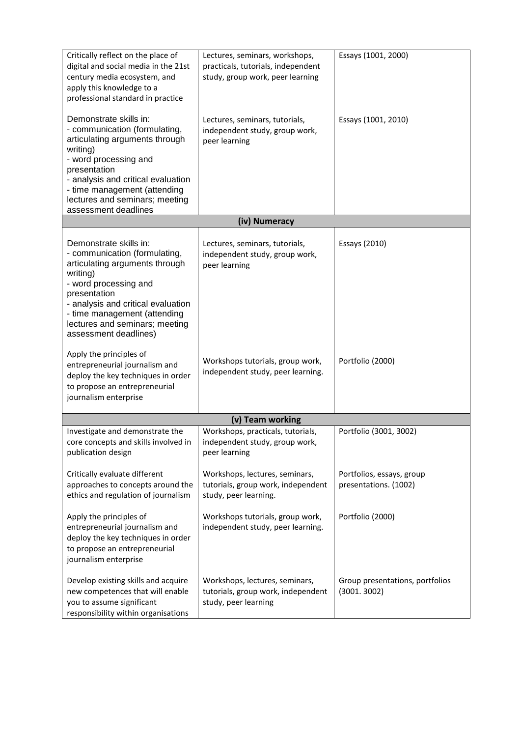| Critically reflect on the place of<br>digital and social media in the 21st<br>century media ecosystem, and<br>apply this knowledge to a<br>professional standard in practice                                                                                                    | Lectures, seminars, workshops,<br>practicals, tutorials, independent<br>study, group work, peer learning | Essays (1001, 2000)                                |
|---------------------------------------------------------------------------------------------------------------------------------------------------------------------------------------------------------------------------------------------------------------------------------|----------------------------------------------------------------------------------------------------------|----------------------------------------------------|
| Demonstrate skills in:<br>- communication (formulating,<br>articulating arguments through<br>writing)<br>- word processing and<br>presentation<br>- analysis and critical evaluation<br>- time management (attending<br>lectures and seminars; meeting<br>assessment deadlines  | Lectures, seminars, tutorials,<br>independent study, group work,<br>peer learning                        | Essays (1001, 2010)                                |
|                                                                                                                                                                                                                                                                                 | (iv) Numeracy                                                                                            |                                                    |
| Demonstrate skills in:<br>- communication (formulating,<br>articulating arguments through<br>writing)<br>- word processing and<br>presentation<br>- analysis and critical evaluation<br>- time management (attending<br>lectures and seminars; meeting<br>assessment deadlines) | Lectures, seminars, tutorials,<br>independent study, group work,<br>peer learning                        | Essays (2010)                                      |
| Apply the principles of<br>entrepreneurial journalism and<br>deploy the key techniques in order<br>to propose an entrepreneurial<br>journalism enterprise                                                                                                                       | Workshops tutorials, group work,<br>independent study, peer learning.                                    | Portfolio (2000)                                   |
|                                                                                                                                                                                                                                                                                 | (v) Team working                                                                                         |                                                    |
| Investigate and demonstrate the<br>core concepts and skills involved in<br>publication design                                                                                                                                                                                   | Workshops, practicals, tutorials,<br>independent study, group work,<br>peer learning                     | Portfolio (3001, 3002)                             |
| Critically evaluate different<br>approaches to concepts around the<br>ethics and regulation of journalism                                                                                                                                                                       | Workshops, lectures, seminars,<br>tutorials, group work, independent<br>study, peer learning.            | Portfolios, essays, group<br>presentations. (1002) |
| Apply the principles of<br>entrepreneurial journalism and<br>deploy the key techniques in order<br>to propose an entrepreneurial<br>journalism enterprise                                                                                                                       | Workshops tutorials, group work,<br>independent study, peer learning.                                    | Portfolio (2000)                                   |
| Develop existing skills and acquire<br>new competences that will enable<br>you to assume significant<br>responsibility within organisations                                                                                                                                     | Workshops, lectures, seminars,<br>tutorials, group work, independent<br>study, peer learning             | Group presentations, portfolios<br>(3001.3002)     |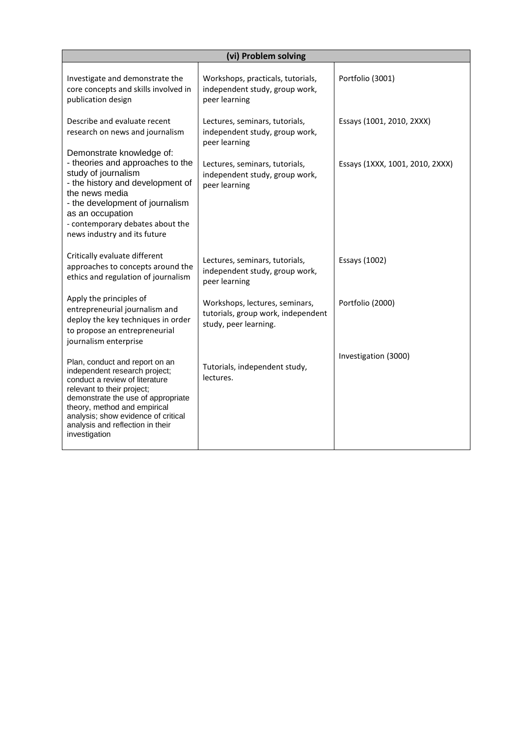| (vi) Problem solving                                                                                                                                                                                                                                                                              |                                                                                               |                                 |  |
|---------------------------------------------------------------------------------------------------------------------------------------------------------------------------------------------------------------------------------------------------------------------------------------------------|-----------------------------------------------------------------------------------------------|---------------------------------|--|
| Investigate and demonstrate the<br>core concepts and skills involved in<br>publication design                                                                                                                                                                                                     | Workshops, practicals, tutorials,<br>independent study, group work,<br>peer learning          | Portfolio (3001)                |  |
| Describe and evaluate recent<br>research on news and journalism<br>Demonstrate knowledge of:                                                                                                                                                                                                      | Lectures, seminars, tutorials,<br>independent study, group work,<br>peer learning             | Essays (1001, 2010, 2XXX)       |  |
| - theories and approaches to the<br>study of journalism<br>- the history and development of<br>the news media<br>- the development of journalism<br>as an occupation<br>- contemporary debates about the<br>news industry and its future                                                          | Lectures, seminars, tutorials,<br>independent study, group work,<br>peer learning             | Essays (1XXX, 1001, 2010, 2XXX) |  |
| Critically evaluate different<br>approaches to concepts around the<br>ethics and regulation of journalism                                                                                                                                                                                         | Lectures, seminars, tutorials,<br>independent study, group work,<br>peer learning             | Essays (1002)                   |  |
| Apply the principles of<br>entrepreneurial journalism and<br>deploy the key techniques in order<br>to propose an entrepreneurial<br>journalism enterprise                                                                                                                                         | Workshops, lectures, seminars,<br>tutorials, group work, independent<br>study, peer learning. | Portfolio (2000)                |  |
| Plan, conduct and report on an<br>independent research project;<br>conduct a review of literature<br>relevant to their project;<br>demonstrate the use of appropriate<br>theory, method and empirical<br>analysis; show evidence of critical<br>analysis and reflection in their<br>investigation | Tutorials, independent study,<br>lectures.                                                    | Investigation (3000)            |  |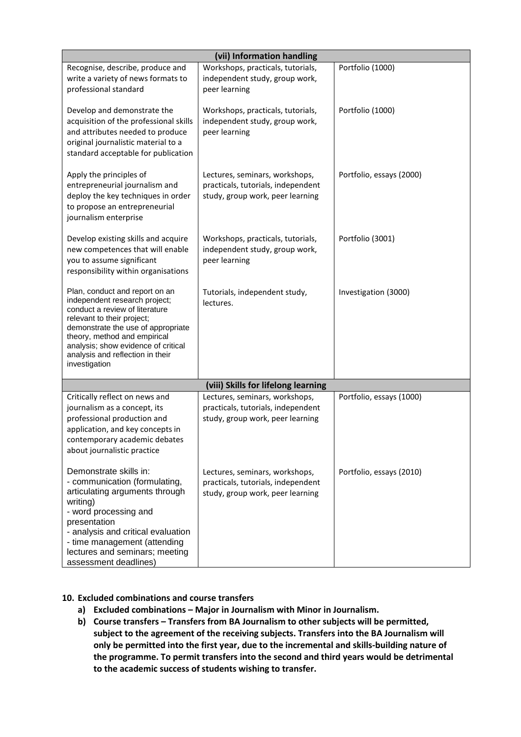|                                                                                                                                                                                                                                                                                                   | (vii) Information handling                                                                               |                          |  |
|---------------------------------------------------------------------------------------------------------------------------------------------------------------------------------------------------------------------------------------------------------------------------------------------------|----------------------------------------------------------------------------------------------------------|--------------------------|--|
| Recognise, describe, produce and<br>write a variety of news formats to<br>professional standard                                                                                                                                                                                                   | Workshops, practicals, tutorials,<br>independent study, group work,<br>peer learning                     | Portfolio (1000)         |  |
| Develop and demonstrate the<br>acquisition of the professional skills<br>and attributes needed to produce<br>original journalistic material to a<br>standard acceptable for publication                                                                                                           | Workshops, practicals, tutorials,<br>independent study, group work,<br>peer learning                     | Portfolio (1000)         |  |
| Apply the principles of<br>entrepreneurial journalism and<br>deploy the key techniques in order<br>to propose an entrepreneurial<br>journalism enterprise                                                                                                                                         | Lectures, seminars, workshops,<br>practicals, tutorials, independent<br>study, group work, peer learning | Portfolio, essays (2000) |  |
| Develop existing skills and acquire<br>new competences that will enable<br>you to assume significant<br>responsibility within organisations                                                                                                                                                       | Workshops, practicals, tutorials,<br>independent study, group work,<br>peer learning                     | Portfolio (3001)         |  |
| Plan, conduct and report on an<br>independent research project;<br>conduct a review of literature<br>relevant to their project;<br>demonstrate the use of appropriate<br>theory, method and empirical<br>analysis; show evidence of critical<br>analysis and reflection in their<br>investigation | Tutorials, independent study,<br>lectures.                                                               | Investigation (3000)     |  |
|                                                                                                                                                                                                                                                                                                   | (viii) Skills for lifelong learning                                                                      |                          |  |
| Critically reflect on news and<br>journalism as a concept, its<br>professional production and<br>application, and key concepts in<br>contemporary academic debates<br>about journalistic practice                                                                                                 | Lectures, seminars, workshops,<br>practicals, tutorials, independent<br>study, group work, peer learning | Portfolio, essays (1000) |  |
| Demonstrate skills in:<br>- communication (formulating,<br>articulating arguments through<br>writing)<br>- word processing and<br>presentation<br>- analysis and critical evaluation<br>- time management (attending<br>lectures and seminars; meeting<br>assessment deadlines)                   | Lectures, seminars, workshops,<br>practicals, tutorials, independent<br>study, group work, peer learning | Portfolio, essays (2010) |  |

#### **10. Excluded combinations and course transfers**

- **a) Excluded combinations – Major in Journalism with Minor in Journalism.**
- **b) Course transfers – Transfers from BA Journalism to other subjects will be permitted, subject to the agreement of the receiving subjects. Transfers into the BA Journalism will only be permitted into the first year, due to the incremental and skills-building nature of the programme. To permit transfers into the second and third years would be detrimental to the academic success of students wishing to transfer.**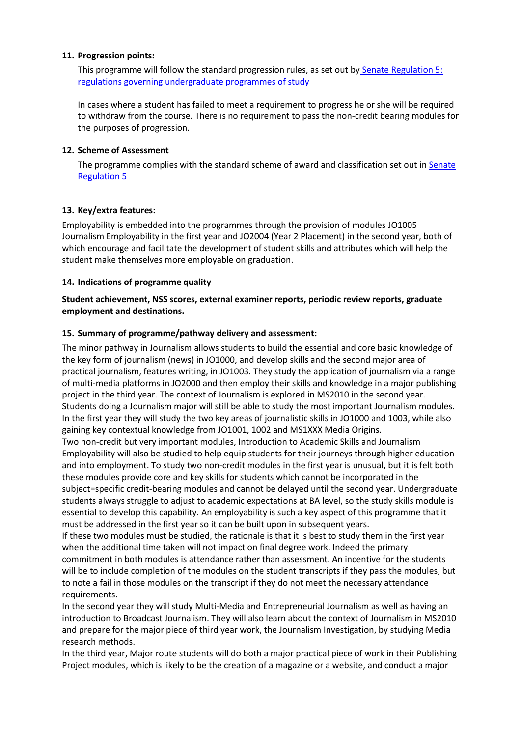#### **11. Progression points:**

This programme will follow the standard progression rules, as set out by [Senate Regulation 5:](http://www2.le.ac.uk/offices/sas2/regulations/documents/senatereg5-undergraduates)  [regulations governing undergraduate programmes of study](http://www2.le.ac.uk/offices/sas2/regulations/documents/senatereg5-undergraduates)

In cases where a student has failed to meet a requirement to progress he or she will be required to withdraw from the course. There is no requirement to pass the non-credit bearing modules for the purposes of progression.

#### **12. Scheme of Assessment**

The programme complies with the standard scheme of award and classification set out in Senate [Regulation 5](http://www2.le.ac.uk/offices/sas2/regulations/documents/senatereg5-undergraduates)

#### **13. Key/extra features:**

Employability is embedded into the programmes through the provision of modules JO1005 Journalism Employability in the first year and JO2004 (Year 2 Placement) in the second year, both of which encourage and facilitate the development of student skills and attributes which will help the student make themselves more employable on graduation.

#### **14. Indications of programme quality**

#### **Student achievement, NSS scores, external examiner reports, periodic review reports, graduate employment and destinations.**

#### **15. Summary of programme/pathway delivery and assessment:**

The minor pathway in Journalism allows students to build the essential and core basic knowledge of the key form of journalism (news) in JO1000, and develop skills and the second major area of practical journalism, features writing, in JO1003. They study the application of journalism via a range of multi-media platforms in JO2000 and then employ their skills and knowledge in a major publishing project in the third year. The context of Journalism is explored in MS2010 in the second year. Students doing a Journalism major will still be able to study the most important Journalism modules. In the first year they will study the two key areas of journalistic skills in JO1000 and 1003, while also gaining key contextual knowledge from JO1001, 1002 and MS1XXX Media Origins.

Two non-credit but very important modules, Introduction to Academic Skills and Journalism Employability will also be studied to help equip students for their journeys through higher education and into employment. To study two non-credit modules in the first year is unusual, but it is felt both these modules provide core and key skills for students which cannot be incorporated in the subject=specific credit-bearing modules and cannot be delayed until the second year. Undergraduate students always struggle to adjust to academic expectations at BA level, so the study skills module is essential to develop this capability. An employability is such a key aspect of this programme that it must be addressed in the first year so it can be built upon in subsequent years.

If these two modules must be studied, the rationale is that it is best to study them in the first year when the additional time taken will not impact on final degree work. Indeed the primary commitment in both modules is attendance rather than assessment. An incentive for the students will be to include completion of the modules on the student transcripts if they pass the modules, but to note a fail in those modules on the transcript if they do not meet the necessary attendance requirements.

In the second year they will study Multi-Media and Entrepreneurial Journalism as well as having an introduction to Broadcast Journalism. They will also learn about the context of Journalism in MS2010 and prepare for the major piece of third year work, the Journalism Investigation, by studying Media research methods.

In the third year, Major route students will do both a major practical piece of work in their Publishing Project modules, which is likely to be the creation of a magazine or a website, and conduct a major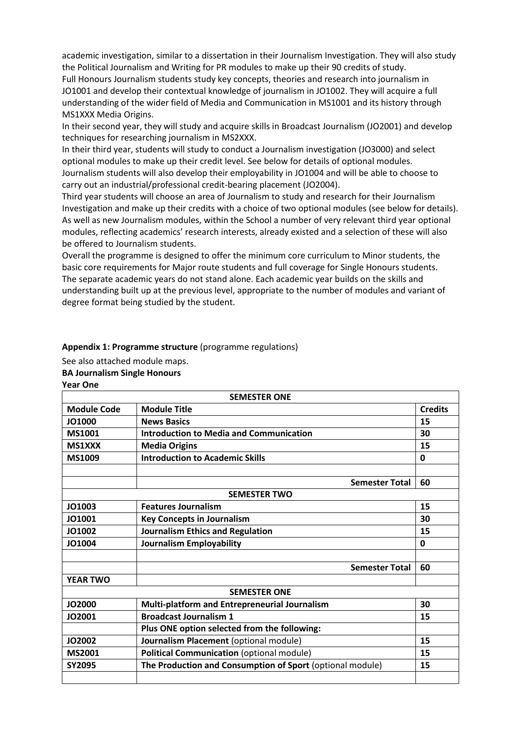academic investigation, similar to a dissertation in their Journalism Investigation. They will also study the Political Journalism and Writing for PR modules to make up their 90 credits of study. Full Honours Journalism students study key concepts, theories and research into journalism in JO1001 and develop their contextual knowledge of journalism in JO1002. They will acquire a full understanding of the wider field of Media and Communication in MS1001 and its history through MS1XXX Media Origins.

In their second year, they will study and acquire skills in Broadcast Journalism (JO2001) and develop techniques for researching journalism in MS2XXX.

In their third year, students will study to conduct a Journalism investigation (JO3000) and select optional modules to make up their credit level. See below for details of optional modules. Journalism students will also develop their employability in JO1004 and will be able to choose to carry out an industrial/professional credit-bearing placement (JO2004).

Third year students will choose an area of Journalism to study and research for their Journalism Investigation and make up their credits with a choice of two optional modules (see below for details). As well as new Journalism modules, within the School a number of very relevant third year optional modules, reflecting academics' research interests, already existed and a selection of these will also be offered to Journalism students.

Overall the programme is designed to offer the minimum core curriculum to Minor students, the basic core requirements for Major route students and full coverage for Single Honours students. The separate academic years do not stand alone. Each academic year builds on the skills and understanding built up at the previous level, appropriate to the number of modules and variant of degree format being studied by the student.

#### **Appendix 1: Programme structure** (programme regulations)

See also attached module maps. **BA Journalism Single Honours Year One** 

| <b>SEMESTER ONE</b> |                                                           |                |
|---------------------|-----------------------------------------------------------|----------------|
| <b>Module Code</b>  | <b>Module Title</b>                                       | <b>Credits</b> |
| JO1000              | <b>News Basics</b>                                        | 15             |
| MS1001              | <b>Introduction to Media and Communication</b>            | 30             |
| <b>MS1XXX</b>       | <b>Media Origins</b>                                      | 15             |
| <b>MS1009</b>       | <b>Introduction to Academic Skills</b>                    | $\mathbf{0}$   |
|                     |                                                           |                |
|                     | <b>Semester Total</b>                                     | 60             |
|                     | <b>SEMESTER TWO</b>                                       |                |
| JO1003              | <b>Features Journalism</b>                                | 15             |
| JO1001              | <b>Key Concepts in Journalism</b>                         | 30             |
| JO1002              | <b>Journalism Ethics and Regulation</b>                   | 15             |
| JO1004              | Journalism Employability                                  | $\mathbf{0}$   |
|                     |                                                           |                |
|                     | <b>Semester Total</b>                                     | 60             |
| <b>YEAR TWO</b>     |                                                           |                |
|                     | <b>SEMESTER ONE</b>                                       |                |
| <b>JO2000</b>       | Multi-platform and Entrepreneurial Journalism             | 30             |
| JO2001              | <b>Broadcast Journalism 1</b>                             | 15             |
|                     | Plus ONE option selected from the following:              |                |
| <b>JO2002</b>       | Journalism Placement (optional module)                    | 15             |
| <b>MS2001</b>       | <b>Political Communication (optional module)</b>          | 15             |
| <b>SY2095</b>       | The Production and Consumption of Sport (optional module) | 15             |
|                     |                                                           |                |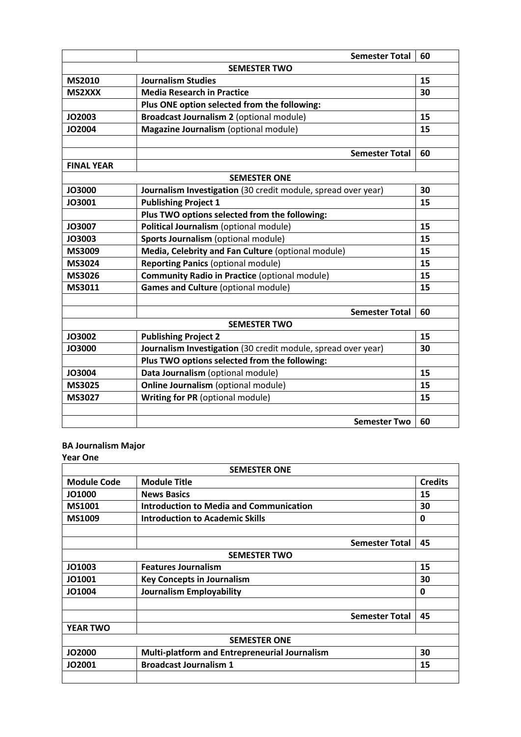|                     | <b>Semester Total</b>                                         | 60 |  |  |
|---------------------|---------------------------------------------------------------|----|--|--|
| <b>SEMESTER TWO</b> |                                                               |    |  |  |
| <b>MS2010</b>       | <b>Journalism Studies</b>                                     | 15 |  |  |
| <b>MS2XXX</b>       | <b>Media Research in Practice</b>                             | 30 |  |  |
|                     | Plus ONE option selected from the following:                  |    |  |  |
| JO2003              | Broadcast Journalism 2 (optional module)                      | 15 |  |  |
| <b>JO2004</b>       | Magazine Journalism (optional module)                         | 15 |  |  |
|                     |                                                               |    |  |  |
|                     | <b>Semester Total</b>                                         | 60 |  |  |
| <b>FINAL YEAR</b>   |                                                               |    |  |  |
|                     | <b>SEMESTER ONE</b>                                           |    |  |  |
| <b>JO3000</b>       | Journalism Investigation (30 credit module, spread over year) | 30 |  |  |
| JO3001              | <b>Publishing Project 1</b>                                   | 15 |  |  |
|                     | Plus TWO options selected from the following:                 |    |  |  |
| <b>JO3007</b>       | Political Journalism (optional module)                        | 15 |  |  |
| JO3003              | Sports Journalism (optional module)                           | 15 |  |  |
| MS3009              | Media, Celebrity and Fan Culture (optional module)            | 15 |  |  |
| <b>MS3024</b>       | <b>Reporting Panics (optional module)</b>                     | 15 |  |  |
| <b>MS3026</b>       | <b>Community Radio in Practice (optional module)</b>          | 15 |  |  |
| MS3011              | <b>Games and Culture (optional module)</b>                    | 15 |  |  |
|                     |                                                               |    |  |  |
|                     | <b>Semester Total</b>                                         | 60 |  |  |
|                     | <b>SEMESTER TWO</b>                                           |    |  |  |
| <b>JO3002</b>       | <b>Publishing Project 2</b>                                   | 15 |  |  |
| <b>JO3000</b>       | Journalism Investigation (30 credit module, spread over year) | 30 |  |  |
|                     | Plus TWO options selected from the following:                 |    |  |  |
| JO3004              | Data Journalism (optional module)                             | 15 |  |  |
| <b>MS3025</b>       | Online Journalism (optional module)                           | 15 |  |  |
| MS3027              | <b>Writing for PR</b> (optional module)                       | 15 |  |  |
|                     |                                                               |    |  |  |
|                     | <b>Semester Two</b>                                           | 60 |  |  |

#### **BA Journalism Major Year One**

|                    | <b>SEMESTER ONE</b>                            |                |
|--------------------|------------------------------------------------|----------------|
| <b>Module Code</b> | <b>Module Title</b>                            | <b>Credits</b> |
| JO1000             | <b>News Basics</b>                             | 15             |
| MS1001             | <b>Introduction to Media and Communication</b> | 30             |
| <b>MS1009</b>      | <b>Introduction to Academic Skills</b>         | 0              |
|                    | <b>Semester Total</b>                          | 45             |
|                    | <b>SEMESTER TWO</b>                            |                |
| JO1003             | <b>Features Journalism</b>                     | 15             |
| JO1001             | <b>Key Concepts in Journalism</b>              | 30             |
| JO1004             | <b>Journalism Employability</b>                | 0              |
|                    | <b>Semester Total</b>                          | 45             |
| <b>YEAR TWO</b>    |                                                |                |
|                    | <b>SEMESTER ONE</b>                            |                |
| <b>JO2000</b>      | Multi-platform and Entrepreneurial Journalism  | 30             |
| JO2001             | <b>Broadcast Journalism 1</b>                  | 15             |
|                    |                                                |                |